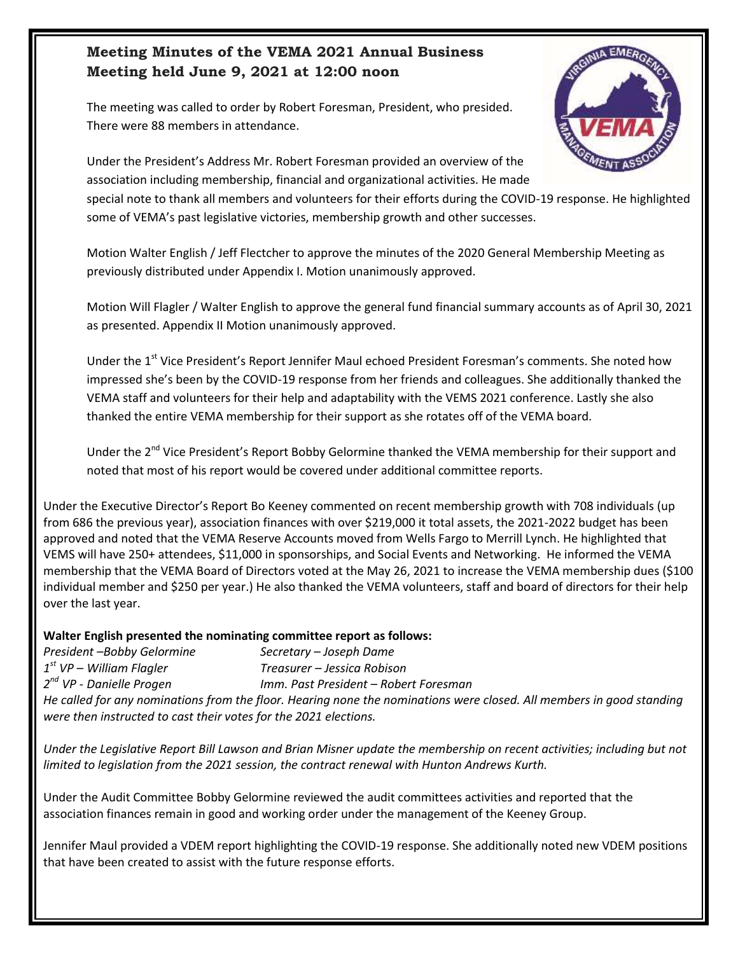#### **Meeting Minutes of the VEMA 2021 Annual Business Meeting held June 9, 2021 at 12:00 noon**

The meeting was called to order by Robert Foresman, President, who presided. There were 88 members in attendance.



Under the President's Address Mr. Robert Foresman provided an overview of the association including membership, financial and organizational activities. He made

special note to thank all members and volunteers for their efforts during the COVID-19 response. He highlighted some of VEMA's past legislative victories, membership growth and other successes.

Motion Walter English / Jeff Flectcher to approve the minutes of the 2020 General Membership Meeting as previously distributed under Appendix I. Motion unanimously approved.

Motion Will Flagler / Walter English to approve the general fund financial summary accounts as of April 30, 2021 as presented. Appendix II Motion unanimously approved.

Under the 1<sup>st</sup> Vice President's Report Jennifer Maul echoed President Foresman's comments. She noted how impressed she's been by the COVID-19 response from her friends and colleagues. She additionally thanked the VEMA staff and volunteers for their help and adaptability with the VEMS 2021 conference. Lastly she also thanked the entire VEMA membership for their support as she rotates off of the VEMA board.

Under the 2<sup>nd</sup> Vice President's Report Bobby Gelormine thanked the VEMA membership for their support and noted that most of his report would be covered under additional committee reports.

Under the Executive Director's Report Bo Keeney commented on recent membership growth with 708 individuals (up from 686 the previous year), association finances with over \$219,000 it total assets, the 2021-2022 budget has been approved and noted that the VEMA Reserve Accounts moved from Wells Fargo to Merrill Lynch. He highlighted that VEMS will have 250+ attendees, \$11,000 in sponsorships, and Social Events and Networking. He informed the VEMA membership that the VEMA Board of Directors voted at the May 26, 2021 to increase the VEMA membership dues (\$100 individual member and \$250 per year.) He also thanked the VEMA volunteers, staff and board of directors for their help over the last year.

#### **Walter English presented the nominating committee report as follows:**

*President –Bobby Gelormine Secretary – Joseph Dame* 1<sup>st</sup> VP – William Flagler *st VP – William Flagler Treasurer – Jessica Robison* 2<sup>nd</sup> VP - Danielle Progen *nd VP - Danielle Progen Imm. Past President – Robert Foresman He called for any nominations from the floor. Hearing none the nominations were closed. All members in good standing were then instructed to cast their votes for the 2021 elections.* 

*Under the Legislative Report Bill Lawson and Brian Misner update the membership on recent activities; including but not limited to legislation from the 2021 session, the contract renewal with Hunton Andrews Kurth.* 

Under the Audit Committee Bobby Gelormine reviewed the audit committees activities and reported that the association finances remain in good and working order under the management of the Keeney Group.

Jennifer Maul provided a VDEM report highlighting the COVID-19 response. She additionally noted new VDEM positions that have been created to assist with the future response efforts.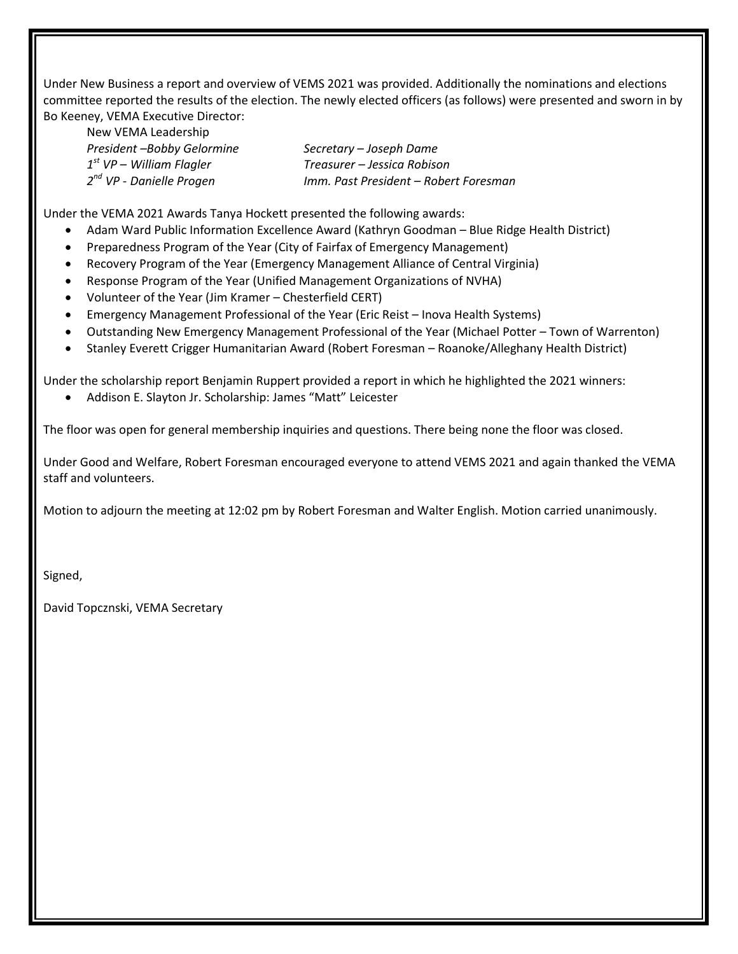Under New Business a report and overview of VEMS 2021 was provided. Additionally the nominations and elections committee reported the results of the election. The newly elected officers (as follows) were presented and sworn in by Bo Keeney, VEMA Executive Director:

New VEMA Leadership *President –Bobby Gelormine Secretary – Joseph Dame* 1<sup>st</sup> VP – William Flagler 2<sup>nd</sup> VP - Danielle Progen

*st VP – William Flagler Treasurer – Jessica Robison nd VP - Danielle Progen Imm. Past President – Robert Foresman*

Under the VEMA 2021 Awards Tanya Hockett presented the following awards:

- Adam Ward Public Information Excellence Award (Kathryn Goodman Blue Ridge Health District)
- Preparedness Program of the Year (City of Fairfax of Emergency Management)
- Recovery Program of the Year (Emergency Management Alliance of Central Virginia)
- Response Program of the Year (Unified Management Organizations of NVHA)
- Volunteer of the Year (Jim Kramer Chesterfield CERT)
- Emergency Management Professional of the Year (Eric Reist Inova Health Systems)
- Outstanding New Emergency Management Professional of the Year (Michael Potter Town of Warrenton)
- Stanley Everett Crigger Humanitarian Award (Robert Foresman Roanoke/Alleghany Health District)

Under the scholarship report Benjamin Ruppert provided a report in which he highlighted the 2021 winners:

Addison E. Slayton Jr. Scholarship: James "Matt" Leicester

The floor was open for general membership inquiries and questions. There being none the floor was closed.

Under Good and Welfare, Robert Foresman encouraged everyone to attend VEMS 2021 and again thanked the VEMA staff and volunteers.

Motion to adjourn the meeting at 12:02 pm by Robert Foresman and Walter English. Motion carried unanimously.

Signed,

David Topcznski, VEMA Secretary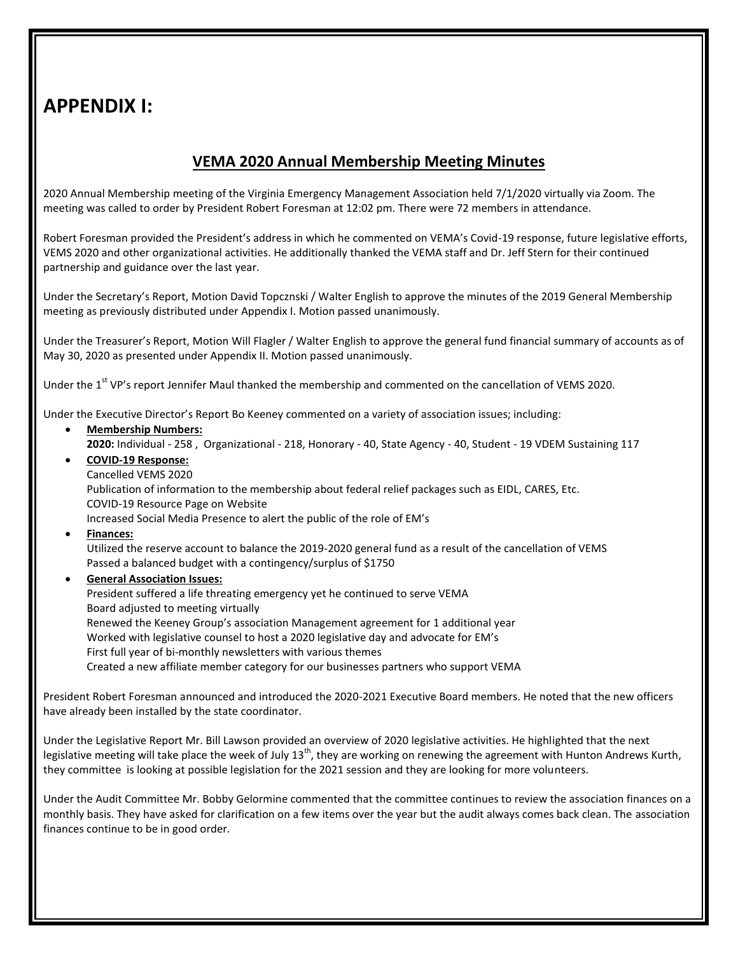### **APPENDIX I:**

### **VEMA 2020 Annual Membership Meeting Minutes**

2020 Annual Membership meeting of the Virginia Emergency Management Association held 7/1/2020 virtually via Zoom. The meeting was called to order by President Robert Foresman at 12:02 pm. There were 72 members in attendance.

Robert Foresman provided the President's address in which he commented on VEMA's Covid-19 response, future legislative efforts, VEMS 2020 and other organizational activities. He additionally thanked the VEMA staff and Dr. Jeff Stern for their continued partnership and guidance over the last year.

Under the Secretary's Report, Motion David Topcznski / Walter English to approve the minutes of the 2019 General Membership meeting as previously distributed under Appendix I. Motion passed unanimously.

Under the Treasurer's Report, Motion Will Flagler / Walter English to approve the general fund financial summary of accounts as of May 30, 2020 as presented under Appendix II. Motion passed unanimously.

Under the 1<sup>st</sup> VP's report Jennifer Maul thanked the membership and commented on the cancellation of VEMS 2020.

Under the Executive Director's Report Bo Keeney commented on a variety of association issues; including:

- **Membership Numbers: 2020:** Individual - 258 , Organizational - 218, Honorary - 40, State Agency - 40, Student - 19 VDEM Sustaining 117
- **COVID-19 Response:** Cancelled VEMS 2020 Publication of information to the membership about federal relief packages such as EIDL, CARES, Etc. COVID-19 Resource Page on Website Increased Social Media Presence to alert the public of the role of EM's
- **Finances:**

Utilized the reserve account to balance the 2019-2020 general fund as a result of the cancellation of VEMS Passed a balanced budget with a contingency/surplus of \$1750

 **General Association Issues:** President suffered a life threating emergency yet he continued to serve VEMA Board adjusted to meeting virtually Renewed the Keeney Group's association Management agreement for 1 additional year Worked with legislative counsel to host a 2020 legislative day and advocate for EM's First full year of bi-monthly newsletters with various themes Created a new affiliate member category for our businesses partners who support VEMA

President Robert Foresman announced and introduced the 2020-2021 Executive Board members. He noted that the new officers have already been installed by the state coordinator.

Under the Legislative Report Mr. Bill Lawson provided an overview of 2020 legislative activities. He highlighted that the next legislative meeting will take place the week of July  $13^{th}$ , they are working on renewing the agreement with Hunton Andrews Kurth, they committee is looking at possible legislation for the 2021 session and they are looking for more volunteers.

Under the Audit Committee Mr. Bobby Gelormine commented that the committee continues to review the association finances on a monthly basis. They have asked for clarification on a few items over the year but the audit always comes back clean. The association finances continue to be in good order.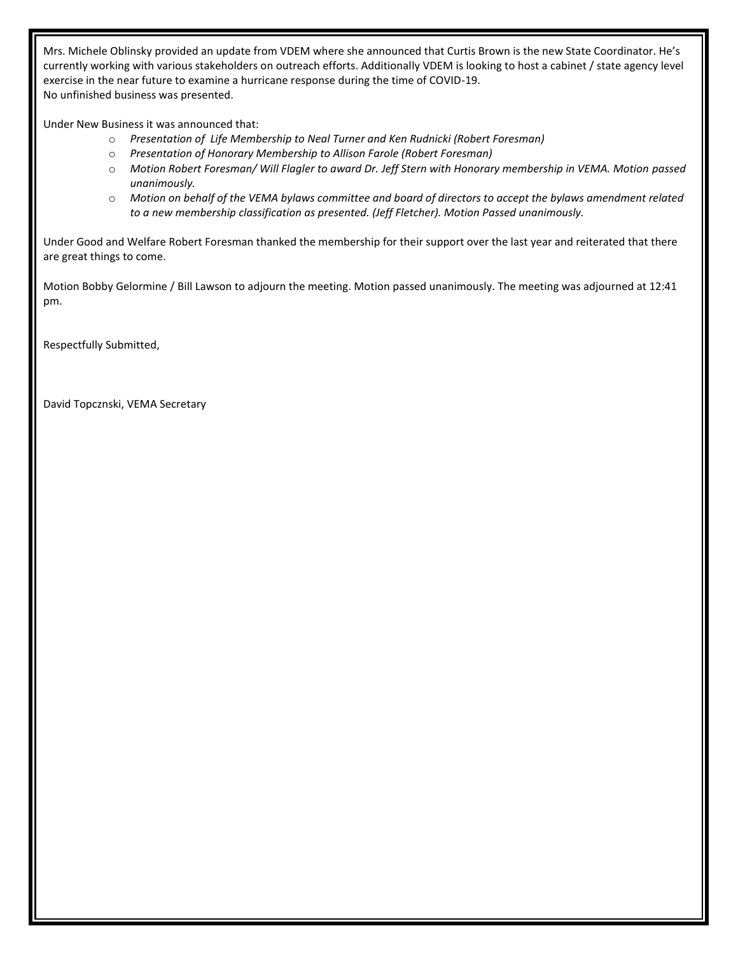Mrs. Michele Oblinsky provided an update from VDEM where she announced that Curtis Brown is the new State Coordinator. He's currently working with various stakeholders on outreach efforts. Additionally VDEM is looking to host a cabinet / state agency level exercise in the near future to examine a hurricane response during the time of COVID-19. No unfinished business was presented.

Under New Business it was announced that:

- o *Presentation of Life Membership to Neal Turner and Ken Rudnicki (Robert Foresman)*
- o *Presentation of Honorary Membership to Allison Farole (Robert Foresman)*
- o *Motion Robert Foresman/ Will Flagler to award Dr. Jeff Stern with Honorary membership in VEMA. Motion passed unanimously.*
- o *Motion on behalf of the VEMA bylaws committee and board of directors to accept the bylaws amendment related to a new membership classification as presented. (Jeff Fletcher). Motion Passed unanimously.*

Under Good and Welfare Robert Foresman thanked the membership for their support over the last year and reiterated that there are great things to come.

Motion Bobby Gelormine / Bill Lawson to adjourn the meeting. Motion passed unanimously. The meeting was adjourned at 12:41 pm.

Respectfully Submitted,

David Topcznski, VEMA Secretary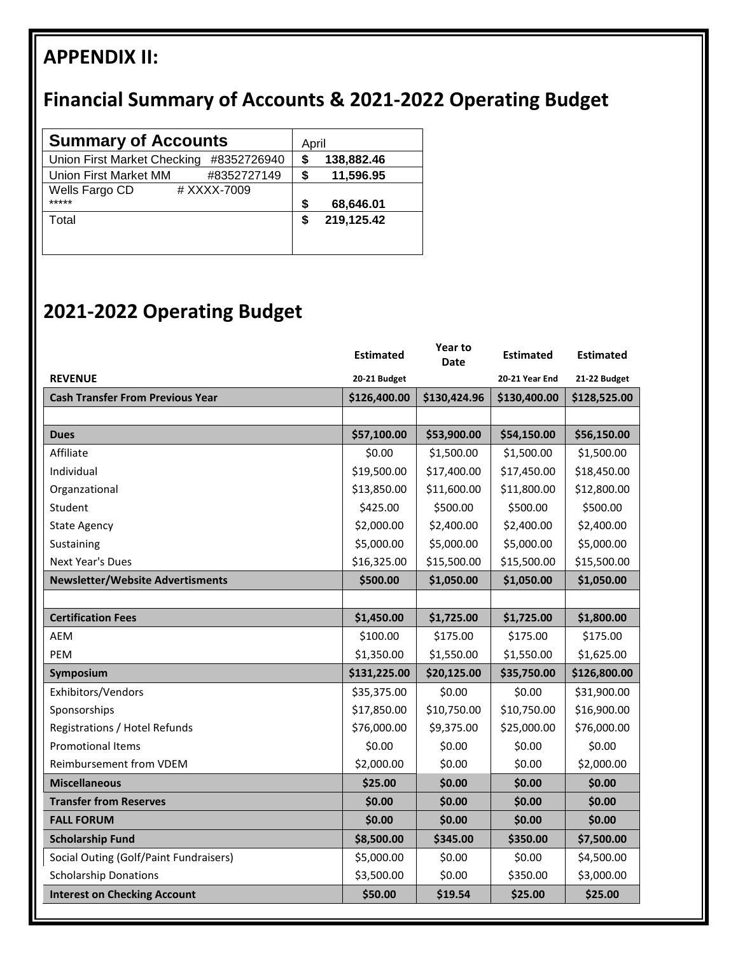# **APPENDIX II:**

# **Financial Summary of Accounts & 2021-2022 Operating Budget**

| <b>Summary of Accounts</b>                  | April |            |
|---------------------------------------------|-------|------------|
| Union First Market Checking<br>#8352726940  |       | 138,882.46 |
| <b>Union First Market MM</b><br>#8352727149 | S     | 11,596.95  |
| Wells Fargo CD<br># XXXX-7009<br>*****      | S     | 68,646.01  |
| Total                                       |       | 219,125.42 |

## **2021-2022 Operating Budget**

|                                         | <b>Estimated</b> | Year to<br>Date | <b>Estimated</b> | <b>Estimated</b> |
|-----------------------------------------|------------------|-----------------|------------------|------------------|
| <b>REVENUE</b>                          | 20-21 Budget     |                 | 20-21 Year End   | 21-22 Budget     |
| <b>Cash Transfer From Previous Year</b> | \$126,400.00     | \$130,424.96    | \$130,400.00     | \$128,525.00     |
|                                         |                  |                 |                  |                  |
| <b>Dues</b>                             | \$57,100.00      | \$53,900.00     | \$54,150.00      | \$56,150.00      |
| Affiliate                               | \$0.00           | \$1,500.00      | \$1,500.00       | \$1,500.00       |
| Individual                              | \$19,500.00      | \$17,400.00     | \$17,450.00      | \$18,450.00      |
| Organzational                           | \$13,850.00      | \$11,600.00     | \$11,800.00      | \$12,800.00      |
| Student                                 | \$425.00         | \$500.00        | \$500.00         | \$500.00         |
| <b>State Agency</b>                     | \$2,000.00       | \$2,400.00      | \$2,400.00       | \$2,400.00       |
| Sustaining                              | \$5,000.00       | \$5,000.00      | \$5,000.00       | \$5,000.00       |
| <b>Next Year's Dues</b>                 | \$16,325.00      | \$15,500.00     | \$15,500.00      | \$15,500.00      |
| <b>Newsletter/Website Advertisments</b> | \$500.00         | \$1,050.00      | \$1,050.00       | \$1,050.00       |
|                                         |                  |                 |                  |                  |
| <b>Certification Fees</b>               | \$1,450.00       | \$1,725.00      | \$1,725.00       | \$1,800.00       |
| <b>AEM</b>                              | \$100.00         | \$175.00        | \$175.00         | \$175.00         |
| PEM                                     | \$1,350.00       | \$1,550.00      | \$1,550.00       | \$1,625.00       |
| Symposium                               | \$131,225.00     | \$20,125.00     | \$35,750.00      | \$126,800.00     |
| Exhibitors/Vendors                      | \$35,375.00      | \$0.00          | \$0.00           | \$31,900.00      |
| Sponsorships                            | \$17,850.00      | \$10,750.00     | \$10,750.00      | \$16,900.00      |
| Registrations / Hotel Refunds           | \$76,000.00      | \$9,375.00      | \$25,000.00      | \$76,000.00      |
| <b>Promotional Items</b>                | \$0.00           | \$0.00          | \$0.00           | \$0.00           |
| Reimbursement from VDEM                 | \$2,000.00       | \$0.00          | \$0.00           | \$2,000.00       |
| <b>Miscellaneous</b>                    | \$25.00          | \$0.00          | \$0.00           | \$0.00           |
| <b>Transfer from Reserves</b>           | \$0.00           | \$0.00          | \$0.00           | \$0.00           |
| <b>FALL FORUM</b>                       | \$0.00           | \$0.00          | \$0.00           | \$0.00           |
| <b>Scholarship Fund</b>                 | \$8,500.00       | \$345.00        | \$350.00         | \$7,500.00       |
| Social Outing (Golf/Paint Fundraisers)  | \$5,000.00       | \$0.00          | \$0.00           | \$4,500.00       |
| <b>Scholarship Donations</b>            | \$3,500.00       | \$0.00          | \$350.00         | \$3,000.00       |
| <b>Interest on Checking Account</b>     | \$50.00          | \$19.54         | \$25.00          | \$25.00          |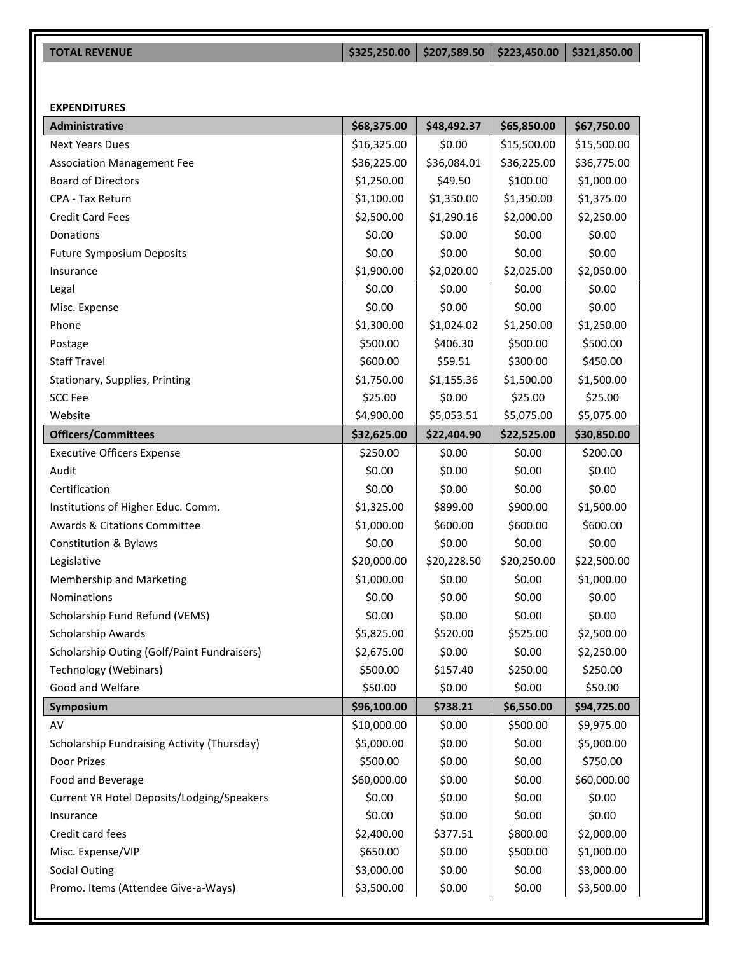| <b>TOTAL REVENUE</b> | $\vert$ \$325,250.00 $\vert$ \$207,589.50 $\vert$ \$223,450.00 $\vert$ \$321,850.00 |  |
|----------------------|-------------------------------------------------------------------------------------|--|

#### **EXPENDITURES**

| <b>Administrative</b>                       | \$68,375.00 | \$48,492.37 | \$65,850.00 | \$67,750.00 |
|---------------------------------------------|-------------|-------------|-------------|-------------|
| <b>Next Years Dues</b>                      | \$16,325.00 | \$0.00      | \$15,500.00 | \$15,500.00 |
| <b>Association Management Fee</b>           | \$36,225.00 | \$36,084.01 | \$36,225.00 | \$36,775.00 |
| <b>Board of Directors</b>                   | \$1,250.00  | \$49.50     | \$100.00    | \$1,000.00  |
| CPA - Tax Return                            | \$1,100.00  | \$1,350.00  | \$1,350.00  | \$1,375.00  |
| <b>Credit Card Fees</b>                     | \$2,500.00  | \$1,290.16  | \$2,000.00  | \$2,250.00  |
| Donations                                   | \$0.00      | \$0.00      | \$0.00      | \$0.00      |
| <b>Future Symposium Deposits</b>            | \$0.00      | \$0.00      | \$0.00      | \$0.00      |
| Insurance                                   | \$1,900.00  | \$2,020.00  | \$2,025.00  | \$2,050.00  |
| Legal                                       | \$0.00      | \$0.00      | \$0.00      | \$0.00      |
| Misc. Expense                               | \$0.00      | \$0.00      | \$0.00      | \$0.00      |
| Phone                                       | \$1,300.00  | \$1,024.02  | \$1,250.00  | \$1,250.00  |
| Postage                                     | \$500.00    | \$406.30    | \$500.00    | \$500.00    |
| <b>Staff Travel</b>                         | \$600.00    | \$59.51     | \$300.00    | \$450.00    |
| Stationary, Supplies, Printing              | \$1,750.00  | \$1,155.36  | \$1,500.00  | \$1,500.00  |
| <b>SCC Fee</b>                              | \$25.00     | \$0.00      | \$25.00     | \$25.00     |
| Website                                     | \$4,900.00  | \$5,053.51  | \$5,075.00  | \$5,075.00  |
| <b>Officers/Committees</b>                  | \$32,625.00 | \$22,404.90 | \$22,525.00 | \$30,850.00 |
| <b>Executive Officers Expense</b>           | \$250.00    | \$0.00      | \$0.00      | \$200.00    |
| Audit                                       | \$0.00      | \$0.00      | \$0.00      | \$0.00      |
| Certification                               | \$0.00      | \$0.00      | \$0.00      | \$0.00      |
| Institutions of Higher Educ. Comm.          | \$1,325.00  | \$899.00    | \$900.00    | \$1,500.00  |
| <b>Awards &amp; Citations Committee</b>     | \$1,000.00  | \$600.00    | \$600.00    | \$600.00    |
| <b>Constitution &amp; Bylaws</b>            | \$0.00      | \$0.00      | \$0.00      | \$0.00      |
| Legislative                                 | \$20,000.00 | \$20,228.50 | \$20,250.00 | \$22,500.00 |
| Membership and Marketing                    | \$1,000.00  | \$0.00      | \$0.00      | \$1,000.00  |
| Nominations                                 | \$0.00      | \$0.00      | \$0.00      | \$0.00      |
| Scholarship Fund Refund (VEMS)              | \$0.00      | \$0.00      | \$0.00      | \$0.00      |
| Scholarship Awards                          | \$5,825.00  | \$520.00    | \$525.00    | \$2,500.00  |
| Scholarship Outing (Golf/Paint Fundraisers) | \$2,675.00  | \$0.00      | \$0.00      | \$2,250.00  |
| Technology (Webinars)                       | \$500.00    | \$157.40    | \$250.00    | \$250.00    |
| Good and Welfare                            | \$50.00     | \$0.00      | \$0.00      | \$50.00     |
| Symposium                                   | \$96,100.00 | \$738.21    | \$6,550.00  | \$94,725.00 |
| AV                                          | \$10,000.00 | \$0.00      | \$500.00    | \$9,975.00  |
| Scholarship Fundraising Activity (Thursday) | \$5,000.00  | \$0.00      | \$0.00      | \$5,000.00  |
| Door Prizes                                 | \$500.00    | \$0.00      | \$0.00      | \$750.00    |
| Food and Beverage                           | \$60,000.00 | \$0.00      | \$0.00      | \$60,000.00 |
| Current YR Hotel Deposits/Lodging/Speakers  | \$0.00      | \$0.00      | \$0.00      | \$0.00      |
| Insurance                                   | \$0.00      | \$0.00      | \$0.00      | \$0.00      |
| Credit card fees                            | \$2,400.00  | \$377.51    | \$800.00    | \$2,000.00  |
| Misc. Expense/VIP                           | \$650.00    | \$0.00      | \$500.00    | \$1,000.00  |
| <b>Social Outing</b>                        | \$3,000.00  | \$0.00      | \$0.00      | \$3,000.00  |
| Promo. Items (Attendee Give-a-Ways)         | \$3,500.00  | \$0.00      | \$0.00      | \$3,500.00  |